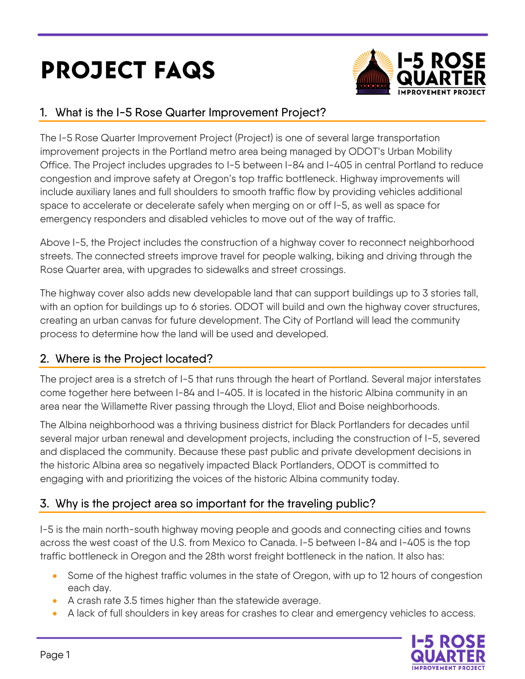# PROJECT FAQS



## 1. What is the I-5 Rose Quarter Improvement Project?

The I-5 Rose Quarter Improvement Project (Project) is one of several large transportation improvement projects in the Portland metro area being managed by ODOT's Urban Mobility Office. The Project includes upgrades to I-5 between I-84 and I-405 in central Portland to reduce congestion and improve safety at Oregon's top traffic bottleneck. Highway improvements will include auxiliary lanes and full shoulders to smooth traffic flow by providing vehicles additional space to accelerate or decelerate safely when merging on or off I-5, as well as space for emergency responders and disabled vehicles to move out of the way of traffic.

Above I-5, the Project includes the construction of a highway cover to reconnect neighborhood streets. The connected streets improve travel for people walking, biking and driving through the Rose Quarter area, with upgrades to sidewalks and street crossings.

The highway cover also adds new developable land that can support buildings up to 3 stories tall, with an option for buildings up to 6 stories. ODOT will build and own the highway cover structures, creating an urban canvas for future development. The City of Portland will lead the community process to determine how the land will be used and developed.

## 2. Where is the Project located?

The project area is a stretch of I-5 that runs through the heart of Portland. Several major interstates come together here between I-84 and I-405. It is located in the historic Albina community in an area near the Willamette River passing through the Lloyd, Eliot and Boise neighborhoods.

The Albina neighborhood was a thriving business district for Black Portlanders for decades until several major urban renewal and development projects, including the construction of I-5, severed and displaced the community. Because these past public and private development decisions in the historic Albina area so negatively impacted Black Portlanders, ODOT is committed to engaging with and prioritizing the voices of the historic Albina community today.

# 3. Why is the project area so important for the traveling public?

I-5 is the main north-south highway moving people and goods and connecting cities and towns across the west coast of the U.S. from Mexico to Canada. I-5 between I-84 and I-405 is the top traffic bottleneck in Oregon and the 28th worst freight bottleneck in the nation. It also has:

- Some of the highest traffic volumes in the state of Oregon, with up to 12 hours of congestion each day.
- A crash rate 3.5 times higher than the statewide average.
- A lack of full shoulders in key areas for crashes to clear and emergency vehicles to access.

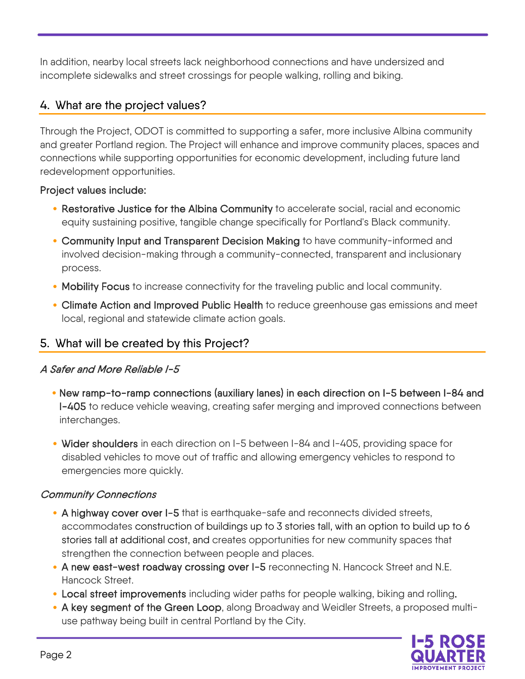In addition, nearby local streets lack neighborhood connections and have undersized and incomplete sidewalks and street crossings for people walking, rolling and biking.

## 4. What are the project values?

Through the Project, ODOT is committed to supporting a safer, more inclusive Albina community and greater Portland region. The Project will enhance and improve community places, spaces and connections while supporting opportunities for economic development, including future land redevelopment opportunities.

#### Project values include:

- Restorative Justice for the Albina Community to accelerate social, racial and economic equity sustaining positive, tangible change specifically for Portland's Black community.
- Community Input and Transparent Decision Making to have community-informed and involved decision-making through a community-connected, transparent and inclusionary process.
- Mobility Focus to increase connectivity for the traveling public and local community.
- Climate Action and Improved Public Health to reduce greenhouse gas emissions and meet local, regional and statewide climate action goals.

## 5. What will be created by this Project?

#### A Safer and More Reliable I-5

- New ramp-to-ramp connections (auxiliary lanes) in each direction on I-5 between I-84 and I-405 to reduce vehicle weaving, creating safer merging and improved connections between interchanges.
- Wider shoulders in each direction on I-5 between I-84 and I-405, providing space for disabled vehicles to move out of traffic and allowing emergency vehicles to respond to emergencies more quickly.

#### Community Connections

- A highway cover over I-5 that is earthquake-safe and reconnects divided streets, accommodates construction of buildings up to 3 stories tall, with an option to build up to 6 stories tall at additional cost, and creates opportunities for new community spaces that strengthen the connection between people and places.
- A new east-west roadway crossing over I-5 reconnecting N. Hancock Street and N.E. Hancock Street.
- Local street improvements including wider paths for people walking, biking and rolling.
- A key segment of the Green Loop, along Broadway and Weidler Streets, a proposed multiuse pathway being built in central Portland by the City.

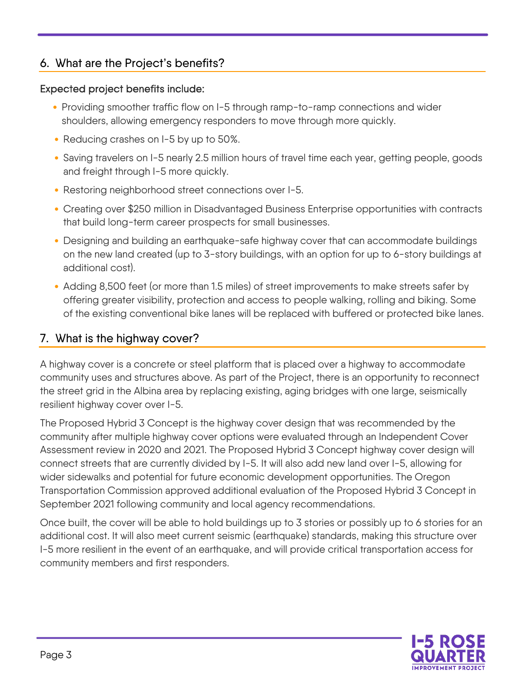## 6. What are the Project's benefits?

#### Expected project benefits include:

- Providing smoother traffic flow on I-5 through ramp-to-ramp connections and wider shoulders, allowing emergency responders to move through more quickly.
- Reducing crashes on I-5 by up to 50%.
- Saving travelers on I-5 nearly 2.5 million hours of travel time each year, getting people, goods and freight through I-5 more quickly.
- Restoring neighborhood street connections over I-5.
- Creating over \$250 million in Disadvantaged Business Enterprise opportunities with contracts that build long-term career prospects for small businesses.
- Designing and building an earthquake-safe highway cover that can accommodate buildings on the new land created (up to 3-story buildings, with an option for up to 6-story buildings at additional cost).
- Adding 8,500 feet (or more than 1.5 miles) of street improvements to make streets safer by offering greater visibility, protection and access to people walking, rolling and biking. Some of the existing conventional bike lanes will be replaced with buffered or protected bike lanes.

## 7. What is the highway cover?

A highway cover is a concrete or steel platform that is placed over a highway to accommodate community uses and structures above. As part of the Project, there is an opportunity to reconnect the street grid in the Albina area by replacing existing, aging bridges with one large, seismically resilient highway cover over I-5.

The Proposed Hybrid 3 Concept is the highway cover design that was recommended by the community after multiple highway cover options were evaluated through an Independent Cover Assessment review in 2020 and 2021. The Proposed Hybrid 3 Concept highway cover design will connect streets that are currently divided by I-5. It will also add new land over I-5, allowing for wider sidewalks and potential for future economic development opportunities. The Oregon Transportation Commission approved additional evaluation of the Proposed Hybrid 3 Concept in September 2021 following community and local agency recommendations.

Once built, the cover will be able to hold buildings up to 3 stories or possibly up to 6 stories for an additional cost. It will also meet current seismic (earthquake) standards, making this structure over I-5 more resilient in the event of an earthquake, and will provide critical transportation access for community members and first responders.

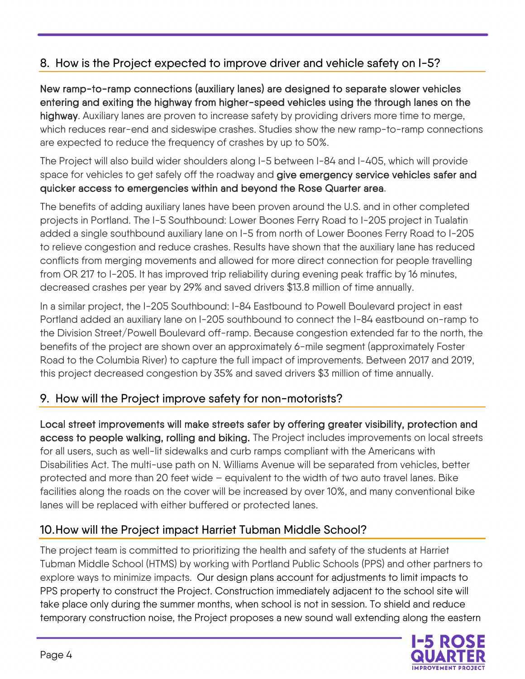# 8. How is the Project expected to improve driver and vehicle safety on I-5?

New ramp-to-ramp connections (auxiliary lanes) are designed to separate slower vehicles entering and exiting the highway from higher-speed vehicles using the through lanes on the highway. Auxiliary lanes are proven to increase safety by providing drivers more time to merge, which reduces rear-end and sideswipe crashes. Studies show the new ramp-to-ramp connections are expected to reduce the frequency of crashes by up to 50%.

The Project will also build wider shoulders along I-5 between I-84 and I-405, which will provide space for vehicles to get safely off the roadway and give emergency service vehicles safer and quicker access to emergencies within and beyond the Rose Quarter area.

The benefits of adding auxiliary lanes have been proven around the U.S. and in other completed projects in Portland. The I-5 Southbound: Lower Boones Ferry Road to I-205 project in Tualatin added a single southbound auxiliary lane on I-5 from north of Lower Boones Ferry Road to I-205 to relieve congestion and reduce crashes. Results have shown that the auxiliary lane has reduced conflicts from merging movements and allowed for more direct connection for people travelling from OR 217 to I-205. It has improved trip reliability during evening peak traffic by 16 minutes, decreased crashes per year by 29% and saved drivers \$13.8 million of time annually.

In a similar project, the I-205 Southbound: I-84 Eastbound to Powell Boulevard project in east Portland added an auxiliary lane on I-205 southbound to connect the I-84 eastbound on-ramp to the Division Street/Powell Boulevard off-ramp. Because congestion extended far to the north, the benefits of the project are shown over an approximately 6-mile segment (approximately Foster Road to the Columbia River) to capture the full impact of improvements. Between 2017 and 2019, this project decreased congestion by 35% and saved drivers \$3 million of time annually.

#### 9. How will the Project improve safety for non-motorists?

Local street improvements will make streets safer by offering greater visibility, protection and access to people walking, rolling and biking. The Project includes improvements on local streets for all users, such as well-lit sidewalks and curb ramps compliant with the Americans with Disabilities Act. The multi-use path on N. Williams Avenue will be separated from vehicles, better protected and more than 20 feet wide – equivalent to the width of two auto travel lanes. Bike facilities along the roads on the cover will be increased by over 10%, and many conventional bike lanes will be replaced with either buffered or protected lanes.

## 10.How will the Project impact Harriet Tubman Middle School?

The project team is committed to prioritizing the health and safety of the students at Harriet Tubman Middle School (HTMS) by working with Portland Public Schools (PPS) and other partners to explore ways to minimize impacts. Our design plans account for adjustments to limit impacts to PPS property to construct the Project. Construction immediately adjacent to the school site will take place only during the summer months, when school is not in session. To shield and reduce temporary construction noise, the Project proposes a new sound wall extending along the eastern

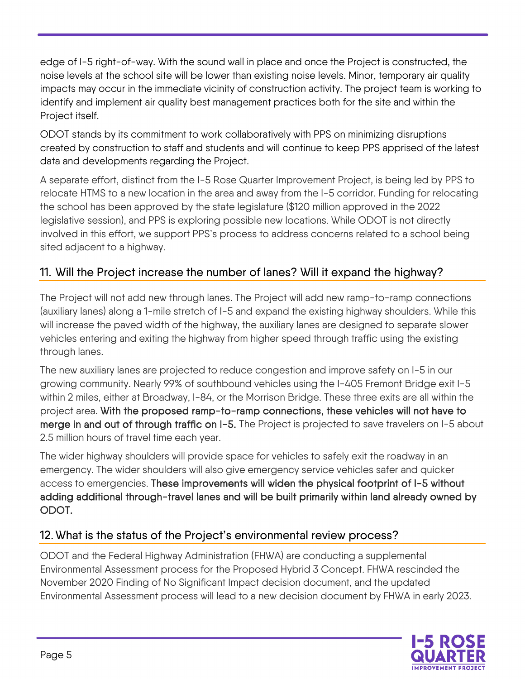edge of I-5 right-of-way. With the sound wall in place and once the Project is constructed, the noise levels at the school site will be lower than existing noise levels. Minor, temporary air quality impacts may occur in the immediate vicinity of construction activity. The project team is working to identify and implement air quality best management practices both for the site and within the Project itself.

ODOT stands by its commitment to work collaboratively with PPS on minimizing disruptions created by construction to staff and students and will continue to keep PPS apprised of the latest data and developments regarding the Project.

A separate effort, distinct from the I-5 Rose Quarter Improvement Project, is being led by PPS to relocate HTMS to a new location in the area and away from the I-5 corridor. Funding for relocating the school has been approved by the state legislature (\$120 million approved in the 2022 legislative session), and PPS is exploring possible new locations. While ODOT is not directly involved in this effort, we support PPS's process to address concerns related to a school being sited adjacent to a highway.

# 11. Will the Project increase the number of lanes? Will it expand the highway?

The Project will not add new through lanes. The Project will add new ramp-to-ramp connections (auxiliary lanes) along a 1-mile stretch of I-5 and expand the existing highway shoulders. While this will increase the paved width of the highway, the auxiliary lanes are designed to separate slower vehicles entering and exiting the highway from higher speed through traffic using the existing through lanes.

The new auxiliary lanes are projected to reduce congestion and improve safety on I-5 in our growing community. Nearly 99% of southbound vehicles using the I-405 Fremont Bridge exit I-5 within 2 miles, either at Broadway, I-84, or the Morrison Bridge. These three exits are all within the project area. With the proposed ramp-to-ramp connections, these vehicles will not have to merge in and out of through traffic on I-5. The Project is projected to save travelers on I-5 about 2.5 million hours of travel time each year.

The wider highway shoulders will provide space for vehicles to safely exit the roadway in an emergency. The wider shoulders will also give emergency service vehicles safer and quicker access to emergencies. These improvements will widen the physical footprint of I-5 without adding additional through-travel lanes and will be built primarily within land already owned by ODOT.

## 12. What is the status of the Project's environmental review process?

ODOT and the Federal Highway Administration (FHWA) are conducting a supplemental Environmental Assessment process for the Proposed Hybrid 3 Concept. FHWA rescinded the November 2020 Finding of No Significant Impact decision document, and the updated Environmental Assessment process will lead to a new decision document by FHWA in early 2023.

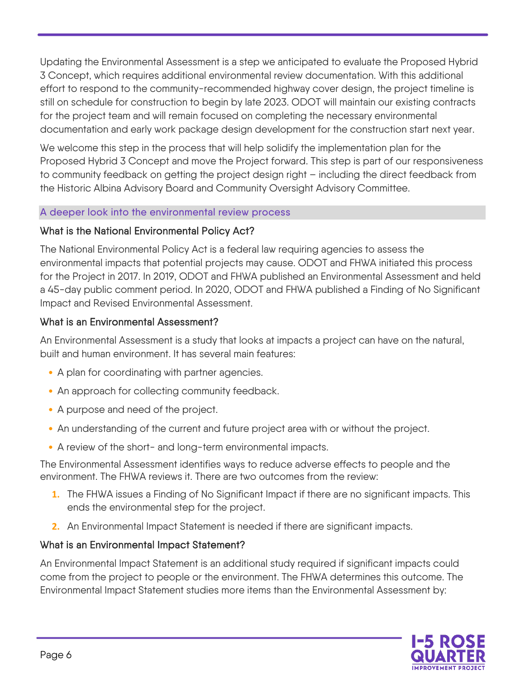Updating the Environmental Assessment is a step we anticipated to evaluate the Proposed Hybrid 3 Concept, which requires additional environmental review documentation. With this additional effort to respond to the community-recommended highway cover design, the project timeline is still on schedule for construction to begin by late 2023. ODOT will maintain our existing contracts for the project team and will remain focused on completing the necessary environmental documentation and early work package design development for the construction start next year.

We welcome this step in the process that will help solidify the implementation plan for the Proposed Hybrid 3 Concept and move the Project forward. This step is part of our responsiveness to community feedback on getting the project design right – including the direct feedback from the Historic Albina Advisory Board and Community Oversight Advisory Committee.

#### A deeper look into the environmental review process

#### What is the National Environmental Policy Act?

The National Environmental Policy Act is a federal law requiring agencies to assess the environmental impacts that potential projects may cause. ODOT and FHWA initiated this process for the Project in 2017. In 2019, ODOT and FHWA published an Environmental Assessment and held a 45-day public comment period. In 2020, ODOT and FHWA published a Finding of No Significant Impact and Revised Environmental Assessment.

#### What is an Environmental Assessment?

An Environmental Assessment is a study that looks at impacts a project can have on the natural, built and human environment. It has several main features:

- A plan for coordinating with partner agencies.
- An approach for collecting community feedback.
- A purpose and need of the project.
- An understanding of the current and future project area with or without the project.
- A review of the short- and long-term environmental impacts.

The Environmental Assessment identifies ways to reduce adverse effects to people and the environment. The FHWA reviews it. There are two outcomes from the review:

- **1.** The FHWA issues a Finding of No Significant Impact if there are no significant impacts. This ends the environmental step for the project.
- **2.** An Environmental Impact Statement is needed if there are significant impacts.

#### What is an Environmental Impact Statement?

An Environmental Impact Statement is an additional study required if significant impacts could come from the project to people or the environment. The FHWA determines this outcome. The Environmental Impact Statement studies more items than the Environmental Assessment by:

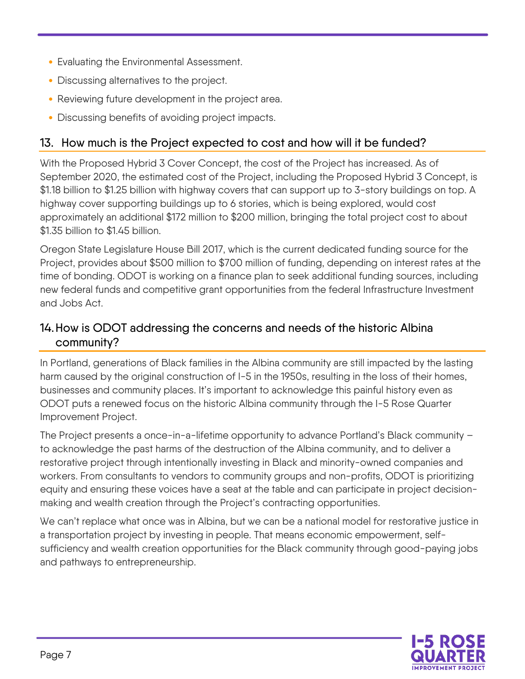- Evaluating the Environmental Assessment.
- Discussing alternatives to the project.
- Reviewing future development in the project area.
- Discussing benefits of avoiding project impacts.

# 13. How much is the Project expected to cost and how will it be funded?

With the Proposed Hybrid 3 Cover Concept, the cost of the Project has increased. As of September 2020, the estimated cost of the Project, including the Proposed Hybrid 3 Concept, is \$1.18 billion to \$1.25 billion with highway covers that can support up to 3-story buildings on top. A highway cover supporting buildings up to 6 stories, which is being explored, would cost approximately an additional \$172 million to \$200 million, bringing the total project cost to about \$1.35 billion to \$1.45 billion.

Oregon State Legislature House Bill 2017, which is the current dedicated funding source for the Project, provides about \$500 million to \$700 million of funding, depending on interest rates at the time of bonding. ODOT is working on a finance plan to seek additional funding sources, including new federal funds and competitive grant opportunities from the federal Infrastructure Investment and Jobs Act.

# 14.How is ODOT addressing the concerns and needs of the historic Albina community?

In Portland, generations of Black families in the Albina community are still impacted by the lasting harm caused by the original construction of I-5 in the 1950s, resulting in the loss of their homes, businesses and community places. It's important to acknowledge this painful history even as ODOT puts a renewed focus on the historic Albina community through the I-5 Rose Quarter Improvement Project.

The Project presents a once-in-a-lifetime opportunity to advance Portland's Black community – to acknowledge the past harms of the destruction of the Albina community, and to deliver a restorative project through intentionally investing in Black and minority-owned companies and workers. From consultants to vendors to community groups and non-profits, ODOT is prioritizing equity and ensuring these voices have a seat at the table and can participate in project decisionmaking and wealth creation through the Project's contracting opportunities.

We can't replace what once was in Albina, but we can be a national model for restorative justice in a transportation project by investing in people. That means economic empowerment, selfsufficiency and wealth creation opportunities for the Black community through good-paying jobs and pathways to entrepreneurship.

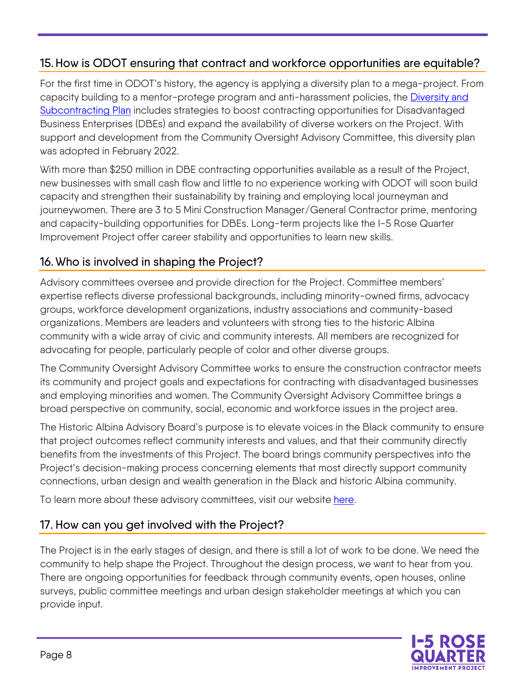# 15.How is ODOT ensuring that contract and workforce opportunities are equitable?

For the first time in ODOT's history, the agency is applying a diversity plan to a mega-project. From capacity building to a mentor-protege program and anti-harassment policies, the [Diversity and](https://i5rosequarter.org/pdfs/project_documents/CH%202_Reconciled_Diversity_Subcontracting%20Plan_041222_APPROVED.pdf)  [Subcontracting Plan](https://i5rosequarter.org/pdfs/project_documents/CH%202_Reconciled_Diversity_Subcontracting%20Plan_041222_APPROVED.pdf) includes strategies to boost contracting opportunities for Disadvantaged Business Enterprises (DBEs) and expand the availability of diverse workers on the Project. With support and development from the Community Oversight Advisory Committee, this diversity plan was adopted in February 2022.

With more than \$250 million in DBE contracting opportunities available as a result of the Project, new businesses with small cash flow and little to no experience working with ODOT will soon build capacity and strengthen their sustainability by training and employing local journeyman and journeywomen. There are 3 to 5 Mini Construction Manager/General Contractor prime, mentoring and capacity-building opportunities for DBEs. Long-term projects like the I-5 Rose Quarter Improvement Project offer career stability and opportunities to learn new skills.

# 16. Who is involved in shaping the Project?

Advisory committees oversee and provide direction for the Project. Committee members' expertise reflects diverse professional backgrounds, including minority-owned firms, advocacy groups, workforce development organizations, industry associations and community-based organizations. Members are leaders and volunteers with strong ties to the historic Albina community with a wide array of civic and community interests. All members are recognized for advocating for people, particularly people of color and other diverse groups.

The Community Oversight Advisory Committee works to ensure the construction contractor meets its community and project goals and expectations for contracting with disadvantaged businesses and employing minorities and women. The Community Oversight Advisory Committee brings a broad perspective on community, social, economic and workforce issues in the project area.

The Historic Albina Advisory Board's purpose is to elevate voices in the Black community to ensure that project outcomes reflect community interests and values, and that their community directly benefits from the investments of this Project. The board brings community perspectives into the Project's decision-making process concerning elements that most directly support community connections, urban design and wealth generation in the Black and historic Albina community.

To learn more about these advisory committees, visit our website [here.](https://i5rosequarter.org/community/committees.aspx)

## 17. How can you get involved with the Project?

The Project is in the early stages of design, and there is still a lot of work to be done. We need the community to help shape the Project. Throughout the design process, we want to hear from you. There are ongoing opportunities for feedback through community events, open houses, online surveys, public committee meetings and urban design stakeholder meetings at which you can provide input.